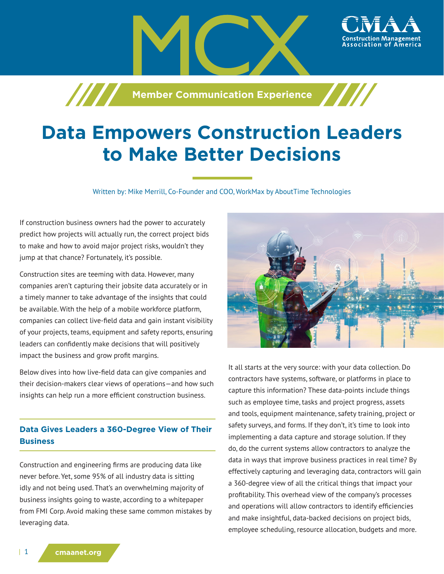**Manufacture 7 Member Communication Experience** 

# **Data Empowers Construction Leaders to Make Better Decisions**

Written by: Mike Merrill, Co-Founder and COO, WorkMax by AboutTime Technologies

If construction business owners had the power to accurately predict how projects will actually run, the correct project bids to make and how to avoid major project risks, wouldn't they jump at that chance? Fortunately, it's possible.

Construction sites are teeming with data. However, many companies aren't capturing their jobsite data accurately or in a timely manner to take advantage of the insights that could be available. With the help of a mobile workforce platform, companies can collect live-field data and gain instant visibility of your projects, teams, equipment and safety reports, ensuring leaders can confidently make decisions that will positively impact the business and grow profit margins.

Below dives into how live-field data can give companies and their decision-makers clear views of operations—and how such insights can help run a more efficient construction business.

## **Data Gives Leaders a 360-Degree View of Their Business**

Construction and engineering firms are producing data like never before. Yet, some 95% of all industry data is sitting idly and not being used. That's an overwhelming majority of business insights going to waste, according to a whitepaper from FMI Corp. Avoid making these same common mistakes by leveraging data.



ssociation of

It all starts at the very source: with your data collection. Do contractors have systems, software, or platforms in place to capture this information? These data-points include things such as employee time, tasks and project progress, assets and tools, equipment maintenance, safety training, project or safety surveys, and forms. If they don't, it's time to look into implementing a data capture and storage solution. If they do, do the current systems allow contractors to analyze the data in ways that improve business practices in real time? By effectively capturing and leveraging data, contractors will gain a 360-degree view of all the critical things that impact your profitability. This overhead view of the company's processes and operations will allow contractors to identify efficiencies and make insightful, data-backed decisions on project bids, employee scheduling, resource allocation, budgets and more.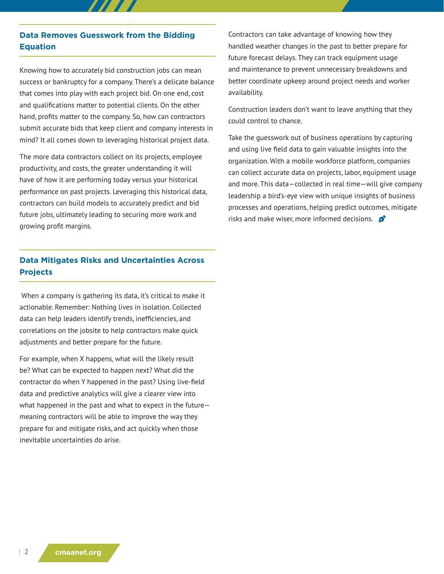### **Data Removes Guesswork from the Bidding Equation**

Knowing how to accurately bid construction jobs can mean success or bankruptcy for a company. There's a delicate balance that comes into play with each project bid. On one end, cost and qualifications matter to potential clients. On the other hand, profits matter to the company. So, how can contractors submit accurate bids that keep client and company interests in mind? It all comes down to leveraging historical project data.

The more data contractors collect on its projects, employee productivity, and costs, the greater understanding it will have of how it are performing today versus your historical performance on past projects. Leveraging this historical data, contractors can build models to accurately predict and bid future jobs, ultimately leading to securing more work and growing profit margins.

## **Data Mitigates Risks and Uncertainties Across Projects**

 When a company is gathering its data, it's critical to make it actionable. Remember: Nothing lives in isolation. Collected data can help leaders identify trends, inefficiencies, and correlations on the jobsite to help contractors make quick adjustments and better prepare for the future.

For example, when X happens, what will the likely result be? What can be expected to happen next? What did the contractor do when Y happened in the past? Using live-field data and predictive analytics will give a clearer view into what happened in the past and what to expect in the future meaning contractors will be able to improve the way they prepare for and mitigate risks, and act quickly when those inevitable uncertainties do arise.

Contractors can take advantage of knowing how they handled weather changes in the past to better prepare for future forecast delays. They can track equipment usage and maintenance to prevent unnecessary breakdowns and better coordinate upkeep around project needs and worker availability.

Construction leaders don't want to leave anything that they could control to chance.

Take the guesswork out of business operations by capturing and using live field data to gain valuable insights into the organization. With a mobile workforce platform, companies can collect accurate data on projects, labor, equipment usage and more. This data—collected in real time—will give company leadership a bird's-eye view with unique insights of business processes and operations, helping predict outcomes, mitigate risks and make wiser, more informed decisions.  $\mathcal{L}$